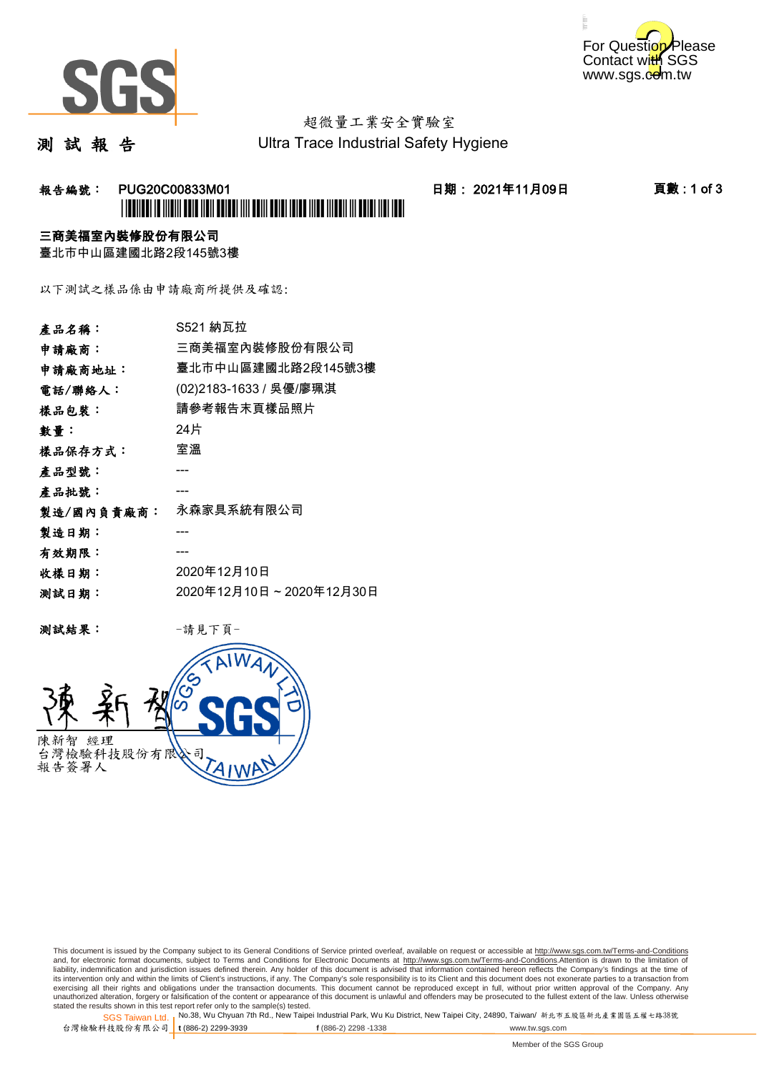



# 超微量工業安全實驗室

測 試 報 告

Ultra Trace Industrial Safety Hygiene

#### 报告編號: PUG20C00833M01 日期: 2021年11月09日 頁數:1 of 3 \*PUG20C00833M01\*

#### 三商美福室內裝修股份有限公司

臺北市中山區建國北路2段145號3樓

以下測試之樣品係由申請廠商所提供及確認:

| 產品名稱:      | S521 納瓦拉                |
|------------|-------------------------|
| 申請廠商:      | 三商美福室內裝修股份有限公司          |
| 申請廠商地址:    | 臺北市中山區建國北路2段145號3樓      |
| 電話/聯絡人:    | (02)2183-1633 / 吳優/廖珮淇  |
| 樣品包裝:      | 請參考報告末頁樣品照片             |
| 數量:        | 24片                     |
| 樣品保存方式:    | 室溫                      |
| 產品型號:      |                         |
| 產品批號:      |                         |
| 製造/國內負責廠商: | 永森家具系統有限公司              |
| 製造日期:      |                         |
| 有效期限:      |                         |
| 收樣日期:      | 2020年12月10日             |
| 测試日期:      | 2020年12月10日~2020年12月30日 |
|            |                         |

测試結果: 一請見下頁



This document is issued by the Company subject to its General Conditions of Service printed overleaf, available on request or accessible at http://www.sgs.com.tw/Terms-and-Conditions and, for electronic format documents, subject to Terms and Conditions for Electronic Documents at <u>http://www.sgs.com.tw/Terms-and-Conditions</u>.Attention is drawn to the limitation of<br>liability, indemnification and jurisdic exercising all their rights and obligations under the transaction documents. This document cannot be reproduced except in full, without prior written approval of the Company. Any<br>unauthorized alteration, forgery or falsifi

SGS Taiwan Ltd. 1 stated the results shown in this test report refer only to the sample(s) tested.<br>Stated the results shown in this test report refer only to the sample(s) tested.

台灣檢驗科技股份有限公司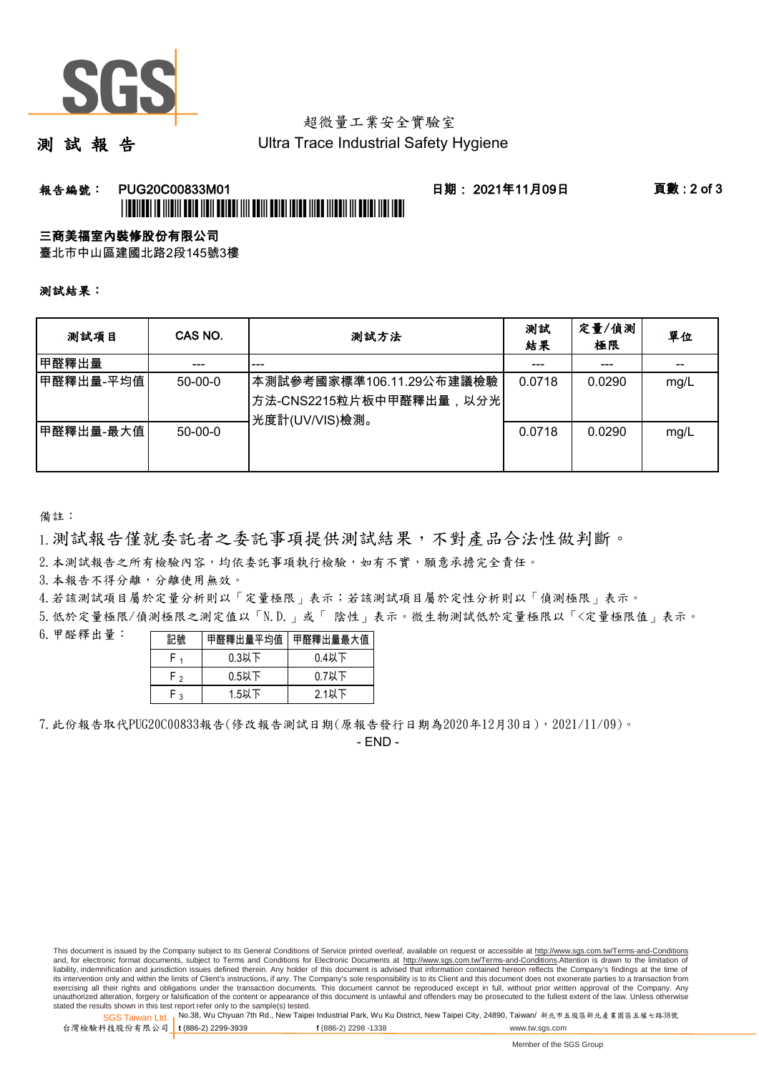

## 超微量工業安全實驗室

測 試 報 告

Ultra Trace Industrial Safety Hygiene

## 報告編號: PUG20C00833M01 日期: 2021年11月09日 頁數 : 2 of 3

# \*PUGE CONTROL DE CONTROL DE CONTROL DE LA CONTROLE DE LA CONTROLE DE LA CONTROLE DE LA CONTROLE DE LA CONTROLE

三商美福室內裝修股份有限公司

臺北市中山區建國北路2段145號3樓

測試結果:

| 测試項目      | CAS NO.   | 測試方法                                                                  | 測試<br>結果 | 定量/偵測<br>極限 | 單位   |
|-----------|-----------|-----------------------------------------------------------------------|----------|-------------|------|
| 甲醛釋出量     |           | ---                                                                   |          | ---         |      |
| 甲醛釋出量-平均值 | $50-00-0$ | 本測試參考國家標準106.11.29公布建議檢驗<br>方法-CNS2215粒片板中甲醛釋出量,以分光<br>光度計(UV/VIS)檢測。 | 0.0718   | 0.0290      | mg/L |
| 甲醛釋出量-最大值 | $50-00-0$ |                                                                       | 0.0718   | 0.0290      | mg/L |

備註:

1.測試報告僅就委託者之委託事項提供測試結果,不對產品合法性做判斷。

2.本測試報告之所有檢驗內容,均依委託事項執行檢驗,如有不實,願意承擔完全責任。

3. 本報告不得分離,分離使用無效。

4.若該測試項目屬於定量分析則以「定量極限」表示;若該測試項目屬於定性分析則以「偵測極限」表示。

5.低於定量極限/偵測極限之測定值以「N.D.」或「 陰性」表示。微生物測試低於定量極限以「<定量極限值」表示。

6.甲醛釋出量:

| 記號  |          | 甲醛釋出量平均值 甲醛釋出量最大值 |  |  |
|-----|----------|-------------------|--|--|
|     | $0.3$ 以下 | $0.4$ 以下          |  |  |
| r , | $0.5$ 以下 | $0.7$ 以下          |  |  |
| . ວ | $1.5$ 以下 | $2.1$ 以下          |  |  |

7.此份報告取代PUG20C00833報告(修改報告測試日期(原報告發行日期為2020年12月30日),2021/11/09)。

- END -

This document is issued by the Company subject to its General Conditions of Service printed overleaf, available on request or accessible at http://www.sgs.com.tw/Terms-and-Conditions and, for electronic format documents, subject to Terms and Conditions for Electronic Documents at http://www.sgs.com.tw/Terms-and-Conditions.Attention is drawn to the limitation of liability, indemnification and jurisdiction issues defined therein. Any holder of this document is advised that information contained hereon reflects the Company's findings at the time of<br>its intervention only and within t exercising all their rights and obligations under the transaction documents. This document cannot be reproduced except in full, without prior written approval of the Company. Any<br>unauthorized alteration, forgery or falsifi

SGS Taiwan Ltd. 1 stated the results shown in this test report refer only to the sample(s) tested.<br>Stated the results shown in this test report refer only to the sample(s) tested.

台灣檢驗科技股份有限公司 **t** (886-2) 2299-3939 **f** (886-2) 2298 -1338 www.tw.sgs.com